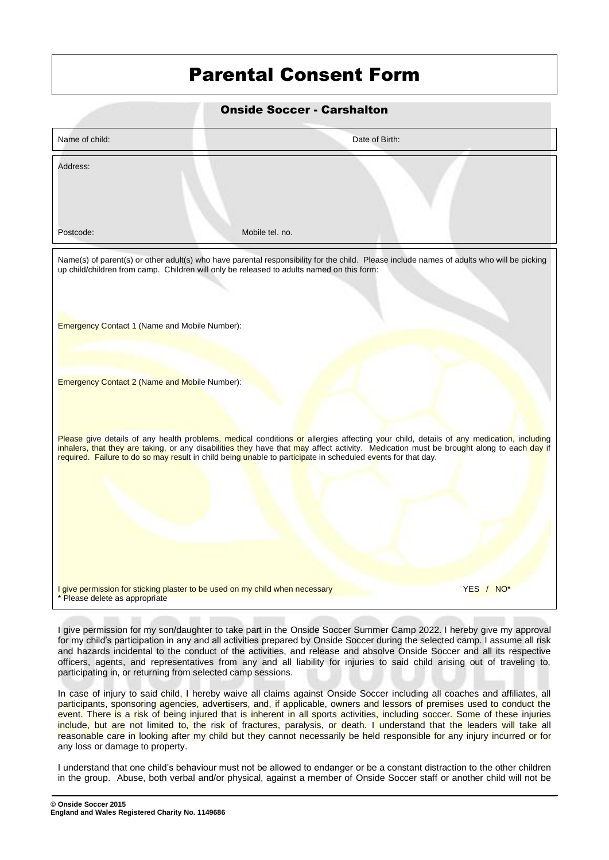## Parental Consent Form

| <b>Onside Soccer - Carshalton</b>                                                                              |                                                                                                                                                                                                                                                                                                                                                                                                   |           |
|----------------------------------------------------------------------------------------------------------------|---------------------------------------------------------------------------------------------------------------------------------------------------------------------------------------------------------------------------------------------------------------------------------------------------------------------------------------------------------------------------------------------------|-----------|
| Name of child:                                                                                                 | Date of Birth:                                                                                                                                                                                                                                                                                                                                                                                    |           |
| Address:                                                                                                       |                                                                                                                                                                                                                                                                                                                                                                                                   |           |
| Postcode:                                                                                                      | Mobile tel. no.                                                                                                                                                                                                                                                                                                                                                                                   |           |
| <b>Emergency Contact 1 (Name and Mobile Number):</b>                                                           | Name(s) of parent(s) or other adult(s) who have parental responsibility for the child. Please include names of adults who will be picking<br>up child/children from camp. Children will only be released to adults named on this form:                                                                                                                                                            |           |
| <b>Emergency Contact 2 (Name and Mobile Number):</b>                                                           |                                                                                                                                                                                                                                                                                                                                                                                                   |           |
|                                                                                                                | Please give details of any health problems, medical conditions or allergies affecting your child, details of any medication, including<br>inhalers, that they are taking, or any disabilities they have that may affect activity. Medication must be brought along to each day if<br>required. Failure to do so may result in child being unable to participate in scheduled events for that day. |           |
| I give permission for sticking plaster to be used on my child when necessary<br>* Please delete as appropriate |                                                                                                                                                                                                                                                                                                                                                                                                   | YES / NO* |
|                                                                                                                |                                                                                                                                                                                                                                                                                                                                                                                                   |           |

I give permission for my son/daughter to take part in the Onside Soccer Summer Camp 2022. I hereby give my approval for my child's participation in any and all activities prepared by Onside Soccer during the selected camp. I assume all risk and hazards incidental to the conduct of the activities, and release and absolve Onside Soccer and all its respective officers, agents, and representatives from any and all liability for injuries to said child arising out of traveling to, participating in, or returning from selected camp sessions.

In case of injury to said child, I hereby waive all claims against Onside Soccer including all coaches and affiliates, all participants, sponsoring agencies, advertisers, and, if applicable, owners and lessors of premises used to conduct the event. There is a risk of being injured that is inherent in all sports activities, including soccer. Some of these injuries include, but are not limited to, the risk of fractures, paralysis, or death. I understand that the leaders will take all reasonable care in looking after my child but they cannot necessarily be held responsible for any injury incurred or for any loss or damage to property.

I understand that one child's behaviour must not be allowed to endanger or be a constant distraction to the other children in the group. Abuse, both verbal and/or physical, against a member of Onside Soccer staff or another child will not be